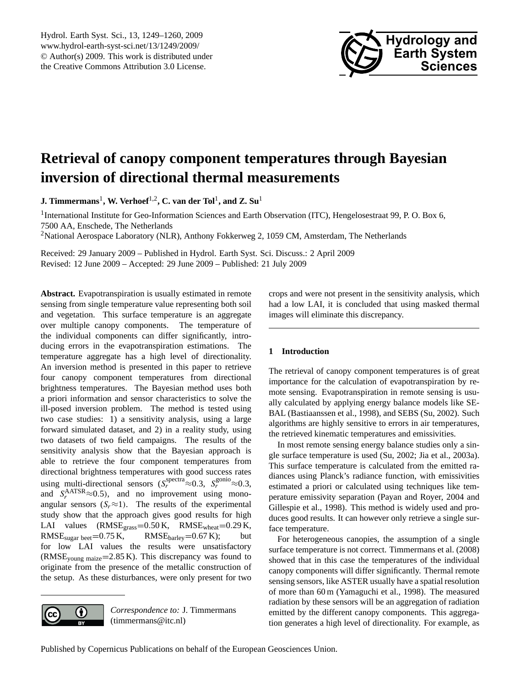

# <span id="page-0-0"></span>**Retrieval of canopy component temperatures through Bayesian inversion of directional thermal measurements**

**J. Timmermans**<sup>1</sup> **, W. Verhoef**1,2**, C. van der Tol**<sup>1</sup> **, and Z. Su**<sup>1</sup>

<sup>1</sup>International Institute for Geo-Information Sciences and Earth Observation (ITC), Hengelosestraat 99, P. O. Box 6, 7500 AA, Enschede, The Netherlands

<sup>2</sup>National Aerospace Laboratory (NLR), Anthony Fokkerweg 2, 1059 CM, Amsterdam, The Netherlands

Received: 29 January 2009 – Published in Hydrol. Earth Syst. Sci. Discuss.: 2 April 2009 Revised: 12 June 2009 – Accepted: 29 June 2009 – Published: 21 July 2009

**Abstract.** Evapotranspiration is usually estimated in remote sensing from single temperature value representing both soil and vegetation. This surface temperature is an aggregate over multiple canopy components. The temperature of the individual components can differ significantly, introducing errors in the evapotranspiration estimations. The temperature aggregate has a high level of directionality. An inversion method is presented in this paper to retrieve four canopy component temperatures from directional brightness temperatures. The Bayesian method uses both a priori information and sensor characteristics to solve the ill-posed inversion problem. The method is tested using two case studies: 1) a sensitivity analysis, using a large forward simulated dataset, and 2) in a reality study, using two datasets of two field campaigns. The results of the sensitivity analysis show that the Bayesian approach is able to retrieve the four component temperatures from directional brightness temperatures with good success rates using multi-directional sensors  $(S_r^{\text{spectra}} \approx 0.3, S_r^{\text{gonio}} \approx 0.3,$ and  $S_r^{\text{AATSR}} \approx 0.5$ , and no improvement using monoangular sensors  $(S_r \approx 1)$ . The results of the experimental study show that the approach gives good results for high LAI values  $(RMSE_{\text{grass}}=0.50 \text{ K}$ ,  $RMSE_{\text{wheat}}=0.29 \text{ K}$ ,  $RMSE_{\text{sugar } \text{beet}} = 0.75 \text{ K}$ ,  $RMSE_{\text{barley}} = 0.67 \text{ K}$ ; but for low LAI values the results were unsatisfactory (RMSE<sub>voung maize</sub>=2.85 K). This discrepancy was found to originate from the presence of the metallic construction of the setup. As these disturbances, were only present for two



*Correspondence to:* J. Timmermans (timmermans@itc.nl)

crops and were not present in the sensitivity analysis, which had a low LAI, it is concluded that using masked thermal images will eliminate this discrepancy.

# **1 Introduction**

The retrieval of canopy component temperatures is of great importance for the calculation of evapotranspiration by remote sensing. Evapotranspiration in remote sensing is usually calculated by applying energy balance models like SE-BAL (Bastiaanssen et al., 1998), and SEBS (Su, 2002). Such algorithms are highly sensitive to errors in air temperatures, the retrieved kinematic temperatures and emissivities.

In most remote sensing energy balance studies only a single surface temperature is used (Su, 2002; Jia et al., 2003a). This surface temperature is calculated from the emitted radiances using Planck's radiance function, with emissivities estimated a priori or calculated using techniques like temperature emissivity separation (Payan and Royer, 2004 and Gillespie et al., 1998). This method is widely used and produces good results. It can however only retrieve a single surface temperature.

For heterogeneous canopies, the assumption of a single surface temperature is not correct. Timmermans et al. (2008) showed that in this case the temperatures of the individual canopy components will differ significantly. Thermal remote sensing sensors, like ASTER usually have a spatial resolution of more than 60 m (Yamaguchi et al., 1998). The measured radiation by these sensors will be an aggregation of radiation emitted by the different canopy components. This aggregation generates a high level of directionality. For example, as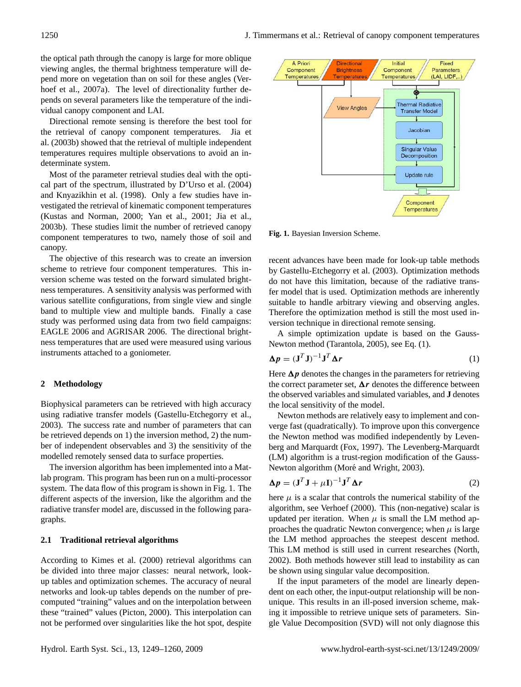the optical path through the canopy is large for more oblique viewing angles, the thermal brightness temperature will depend more on vegetation than on soil for these angles (Verhoef et al., 2007a). The level of directionality further depends on several parameters like the temperature of the individual canopy component and LAI.

Directional remote sensing is therefore the best tool for the retrieval of canopy component temperatures. Jia et al. (2003b) showed that the retrieval of multiple independent temperatures requires multiple observations to avoid an indeterminate system.

Most of the parameter retrieval studies deal with the optical part of the spectrum, illustrated by D'Urso et al. (2004) and Knyazikhin et al. (1998). Only a few studies have investigated the retrieval of kinematic component temperatures (Kustas and Norman, 2000; Yan et al., 2001; Jia et al., 2003b). These studies limit the number of retrieved canopy component temperatures to two, namely those of soil and canopy.

The objective of this research was to create an inversion scheme to retrieve four component temperatures. This inversion scheme was tested on the forward simulated brightness temperatures. A sensitivity analysis was performed with various satellite configurations, from single view and single band to multiple view and multiple bands. Finally a case study was performed using data from two field campaigns: EAGLE 2006 and AGRISAR 2006. The directional brightness temperatures that are used were measured using various instruments attached to a goniometer.

## **2 Methodology**

Biophysical parameters can be retrieved with high accuracy using radiative transfer models (Gastellu-Etchegorry et al., 2003). The success rate and number of parameters that can be retrieved depends on 1) the inversion method, 2) the number of independent observables and 3) the sensitivity of the modelled remotely sensed data to surface properties.

The inversion algorithm has been implemented into a Matlab program. This program has been run on a multi-processor system. The data flow of this program is shown in Fig. 1. The different aspects of the inversion, like the algorithm and the radiative transfer model are, discussed in the following paragraphs.

#### **2.1 Traditional retrieval algorithms**

According to Kimes et al. (2000) retrieval algorithms can be divided into three major classes: neural network, lookup tables and optimization schemes. The accuracy of neural networks and look-up tables depends on the number of precomputed "training" values and on the interpolation between these "trained" values (Picton, 2000). This interpolation can not be performed over singularities like the hot spot, despite



Fig. 1. Bayesian Inversion Scheme.

recent advances have been made for look-up table methods by Gastellu-Etchegorry et al. (2003). Optimization methods do not have this limitation, because of the radiative transfer model that is used. Optimization methods are inherently suitable to handle arbitrary viewing and observing angles. Therefore the optimization method is still the most used inversion technique in directional remote sensing.

A simple optimization update is based on the Gauss-Newton method (Tarantola, 2005), see Eq. (1).

$$
\Delta p = (\mathbf{J}^T \mathbf{J})^{-1} \mathbf{J}^T \Delta r \tag{1}
$$

Here  $\Delta p$  denotes the changes in the parameters for retrieving the observed variables and simulated variables, and **J** denotes the correct parameter set,  $\Delta r$  denotes the difference between the local sensitivity of the model.

Newton methods are relatively easy to implement and converge fast (quadratically). To improve upon this convergence the Newton method was modified independently by Levenberg and Marquardt (Fox, 1997). The Levenberg-Marquardt (LM) algorithm is a trust-region modification of the Gauss-Newton algorithm (Moré and Wright, 2003).

$$
\Delta p = (\mathbf{J}^T \mathbf{J} + \mu \mathbf{I})^{-1} \mathbf{J}^T \Delta r
$$
 (2)

here  $\mu$  is a scalar that controls the numerical stability of the algorithm, see Verhoef (2000). This (non-negative) scalar is updated per iteration. When  $\mu$  is small the LM method approaches the quadratic Newton convergence; when  $\mu$  is large the LM method approaches the steepest descent method. This LM method is still used in current researches (North, 2002). Both methods however still lead to instability as can be shown using singular value decomposition.

If the input parameters of the model are linearly dependent on each other, the input-output relationship will be nonunique. This results in an ill-posed inversion scheme, making it impossible to retrieve unique sets of parameters. Single Value Decomposition (SVD) will not only diagnose this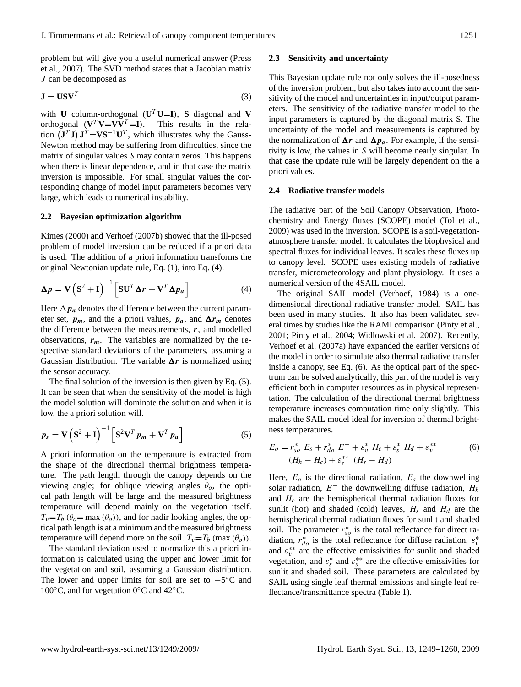problem but will give you a useful numerical answer (Press et al., 2007). The SVD method states that a Jacobian matrix J can be decomposed as

$$
\mathbf{J} = \mathbf{U}\mathbf{S}\mathbf{V}^T \tag{3}
$$

with **U** column-orthogonal  $(\mathbf{U}^T \mathbf{U} = \mathbf{I})$ , **S** diagonal and **V** orthogonal  $(\mathbf{V}^T \mathbf{V} = \mathbf{V} \mathbf{V}^T = \mathbf{I})$ . This results in the relation  $(\mathbf{J}^T \mathbf{J}) \mathbf{J}^T = \mathbf{V} \mathbf{S}^{-1} \mathbf{U}^T$ , which illustrates why the Gauss-Newton method may be suffering from difficulties, since the matrix of singular values S may contain zeros. This happens when there is linear dependence, and in that case the matrix inversion is impossible. For small singular values the corresponding change of model input parameters becomes very large, which leads to numerical instability.

#### **2.2 Bayesian optimization algorithm**

Kimes (2000) and Verhoef (2007b) showed that the ill-posed problem of model inversion can be reduced if a priori data is used. The addition of a priori information transforms the original Newtonian update rule, Eq. (1), into Eq. (4).

$$
\Delta p = \mathbf{V} \left( \mathbf{S}^2 + \mathbf{I} \right)^{-1} \left[ \mathbf{S} \mathbf{U}^T \Delta r + \mathbf{V}^T \Delta p_a \right]
$$
 (4)

Here  $\Delta p_a$  denotes the difference between the current parameter set,  $p_m$ , and the a priori values,  $p_a$ , and  $\Delta r_m$  denotes the difference between the measurements,  $r$ , and modelled observations,  $r_m$ . The variables are normalized by the respective standard deviations of the parameters, assuming a Gaussian distribution. The variable  $\Delta r$  is normalized using the sensor accuracy.

The final solution of the inversion is then given by Eq. (5). It can be seen that when the sensitivity of the model is high the model solution will dominate the solution and when it is low, the a priori solution will.

$$
p_s = \mathbf{V} \left( \mathbf{S}^2 + \mathbf{I} \right)^{-1} \left[ \mathbf{S}^2 \mathbf{V}^T p_m + \mathbf{V}^T p_a \right]
$$
 (5)

A priori information on the temperature is extracted from the shape of the directional thermal brightness temperature. The path length through the canopy depends on the viewing angle; for oblique viewing angles  $\theta_o$ , the optical path length will be large and the measured brightness temperature will depend mainly on the vegetation itself.  $T_v = T_b (\theta_o = \max (\theta_o))$ , and for nadir looking angles, the optical path length is at a minimum and the measured brightness temperature will depend more on the soil.  $T_v=T_b$  (max  $(\theta_o)$ ).

The standard deviation used to normalize this a priori information is calculated using the upper and lower limit for the vegetation and soil, assuming a Gaussian distribution. The lower and upper limits for soil are set to  $-5^{\circ}$ C and 100 $\rm{°C}$ , and for vegetation 0 $\rm{°C}$  and 42 $\rm{°C}$ .

#### **2.3 Sensitivity and uncertainty**

This Bayesian update rule not only solves the ill-posedness of the inversion problem, but also takes into account the sensitivity of the model and uncertainties in input/output parameters. The sensitivity of the radiative transfer model to the input parameters is captured by the diagonal matrix S. The uncertainty of the model and measurements is captured by the normalization of  $\Delta r$  and  $\Delta p_a$ . For example, if the sensitivity is low, the values in S will become nearly singular. In that case the update rule will be largely dependent on the a priori values.

## **2.4 Radiative transfer models**

The radiative part of the Soil Canopy Observation, Photochemistry and Energy fluxes (SCOPE) model (Tol et al., 2009) was used in the inversion. SCOPE is a soil-vegetationatmosphere transfer model. It calculates the biophysical and spectral fluxes for individual leaves. It scales these fluxes up to canopy level. SCOPE uses existing models of radiative transfer, micrometeorology and plant physiology. It uses a numerical version of the 4SAIL model.

The original SAIL model (Verhoef, 1984) is a onedimensional directional radiative transfer model. SAIL has been used in many studies. It also has been validated several times by studies like the RAMI comparison (Pinty et al., 2001; Pinty et al., 2004; Widlowski et al. 2007). Recently, Verhoef et al. (2007a) have expanded the earlier versions of the model in order to simulate also thermal radiative transfer inside a canopy, see Eq. (6). As the optical part of the spectrum can be solved analytically, this part of the model is very efficient both in computer resources as in physical representation. The calculation of the directional thermal brightness temperature increases computation time only slightly. This makes the SAIL model ideal for inversion of thermal brightness temperatures.

$$
E_o = r_{so}^* E_s + r_{do}^* E^- + \varepsilon_v^* H_c + \varepsilon_s^* H_d + \varepsilon_v^{**}
$$
  
(*H<sub>h</sub>* - *H<sub>c</sub>*) +  $\varepsilon_s^{**}$  (*H<sub>s</sub>* - *H<sub>d</sub>*) (6)

Here,  $E_o$  is the directional radiation,  $E_s$  the downwelling solar radiation,  $E^-$  the downwelling diffuse radiation,  $H_h$ and  $H_c$  are the hemispherical thermal radiation fluxes for sunlit (hot) and shaded (cold) leaves,  $H_s$  and  $H_d$  are the hemispherical thermal radiation fluxes for sunlit and shaded soil. The parameter  $r_{so}^*$  is the total reflectance for direct radiation,  $r_{do}^{*}$  is the total reflectance for diffuse radiation,  $\varepsilon_v^{*}$ and  $\varepsilon_v^{**}$  are the effective emissivities for sunlit and shaded vegetation, and  $\varepsilon_s^*$  and  $\varepsilon_s^{**}$  are the effective emissivities for sunlit and shaded soil. These parameters are calculated by SAIL using single leaf thermal emissions and single leaf reflectance/transmittance spectra (Table 1).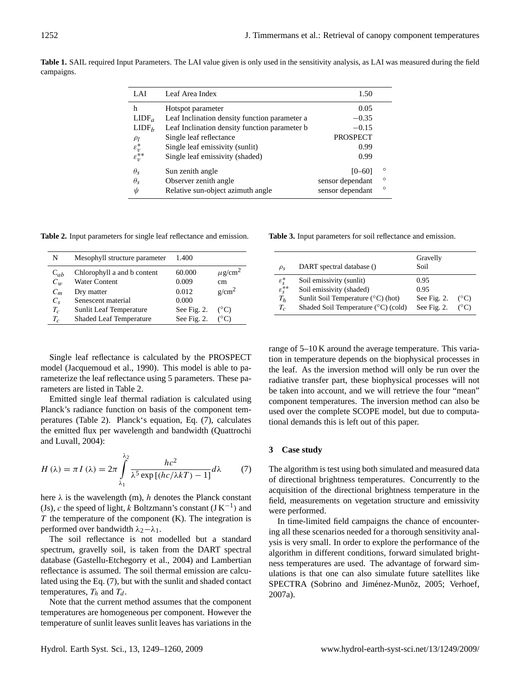| LAI                                                                 | Leaf Area Index                               | 1.50             |         |
|---------------------------------------------------------------------|-----------------------------------------------|------------------|---------|
| h                                                                   | Hotspot parameter                             | 0.05             |         |
| $LIDE_a$                                                            | Leaf Inclination density function parameter a | $-0.35$          |         |
| LIDF <sub>b</sub>                                                   | Leaf Inclination density function parameter b | $-0.15$          |         |
| $\rho_l$                                                            | Single leaf reflectance                       | <b>PROSPECT</b>  |         |
|                                                                     | Single leaf emissivity (sunlit)               | 0.99             |         |
| $\begin{matrix} \varepsilon_v^* \\ \varepsilon_v^{**} \end{matrix}$ | Single leaf emissivity (shaded)               | 0.99             |         |
| $\theta_{\rm S}$                                                    | Sun zenith angle                              | $[0 - 60]$       | $\circ$ |
| $\theta_s$                                                          | Observer zenith angle                         | sensor dependant | $\circ$ |
| $\psi$                                                              | Relative sun-object azimuth angle             | sensor dependant | $\circ$ |

**Table 1.** SAIL required Input Parameters. The LAI value given is only used in the sensitivity analysis, as LAI was measured during the field campaigns.

<span id="page-3-0"></span>**Table 2.** Input parameters for single leaf reflectance and emission.

| N        | Mesophyll structure parameter  | 1.400       |                         |
|----------|--------------------------------|-------------|-------------------------|
| $C_{ab}$ | Chlorophyll a and b content    | 60.000      | $\mu$ g/cm <sup>2</sup> |
| $C_w$    | Water Content                  | 0.009       | cm                      |
| $C_m$    | Dry matter                     | 0.012       | $g/cm^2$                |
| $C_{S}$  | Senescent material             | 0.000       |                         |
| $T_c$    | <b>Sunlit Leaf Temperature</b> | See Fig. 2. | $(^{\circ}C)$           |
| $T_c$    | <b>Shaded Leaf Temperature</b> | See Fig. 2. |                         |

Single leaf reflectance is calculated by the PROSPECT model (Jacquemoud et al., 1990). This model is able to parameterize the leaf reflectance using 5 parameters. These parameters are listed in Table 2.

Emitted single leaf thermal radiation is calculated using Planck's radiance function on basis of the component temperatures (Table 2). Planck's equation, Eq. (7), calculates the emitted flux per wavelength and bandwidth (Quattrochi and Luvall, 2004):

$$
H(\lambda) = \pi I(\lambda) = 2\pi \int_{\lambda_1}^{\lambda_2} \frac{hc^2}{\lambda^5 \exp\left[(hc/\lambda kT) - 1\right]} d\lambda \tag{7}
$$

here  $\lambda$  is the wavelength (m), h denotes the Planck constant (Js), c the speed of light, k Boltzmann's constant ( $J K^{-1}$ ) and  $T$  the temperature of the component  $(K)$ . The integration is performed over bandwidth  $\lambda_2-\lambda_1$ .

The soil reflectance is not modelled but a standard spectrum, gravelly soil, is taken from the DART spectral database (Gastellu-Etchegorry et al., 2004) and Lambertian reflectance is assumed. The soil thermal emission are calculated using the Eq. (7), but with the sunlit and shaded contact temperatures,  $T_h$  and  $T_d$ .

Note that the current method assumes that the component temperatures are homogeneous per component. However the temperature of sunlit leaves sunlit leaves has variations in the

**Table 3.** Input parameters for soil reflectance and emission.

| $\rho_{\rm s}$        | DART spectral database ()                    | Gravelly<br>Soil |               |
|-----------------------|----------------------------------------------|------------------|---------------|
| $\varepsilon_{s}^{*}$ | Soil emissivity (sunlit)                     | 0.95             |               |
| $\varepsilon_s^{**}$  | Soil emissivity (shaded)                     | 0.95             |               |
| $T_h$                 | Sunlit Soil Temperature $(^{\circ}C)$ (hot)  | See Fig. 2.      | $(^{\circ}C)$ |
| $T_c$                 | Shaded Soil Temperature $(^{\circ}C)$ (cold) | See Fig. 2.      | $(^{\circ}C)$ |

range of 5–10 K around the average temperature. This variation in temperature depends on the biophysical processes in the leaf. As the inversion method will only be run over the radiative transfer part, these biophysical processes will not be taken into account, and we will retrieve the four "mean" component temperatures. The inversion method can also be used over the complete SCOPE model, but due to computational demands this is left out of this paper.

## **3 Case study**

The algorithm is test using both simulated and measured data of directional brightness temperatures. Concurrently to the acquisition of the directional brightness temperature in the field, measurements on vegetation structure and emissivity were performed.

In time-limited field campaigns the chance of encountering all these scenarios needed for a thorough sensitivity analysis is very small. In order to explore the performance of the algorithm in different conditions, forward simulated brightness temperatures are used. The advantage of forward simulations is that one can also simulate future satellites like SPECTRA (Sobrino and Jiménez-Munõz, 2005; Verhoef, 2007a).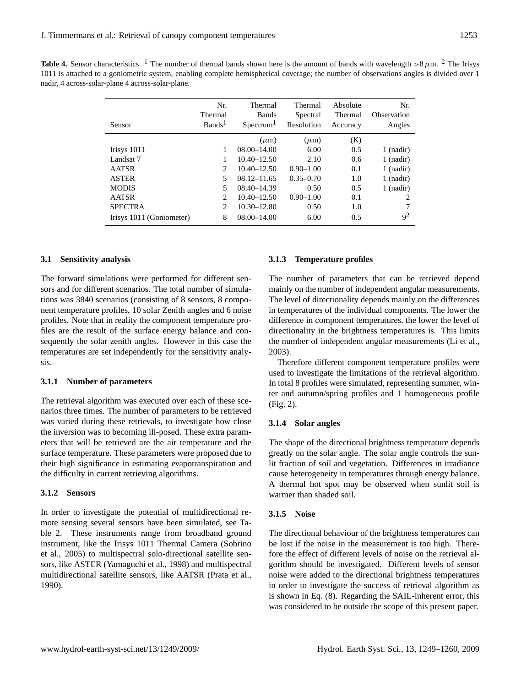**Table 4.** Sensor characteristics. <sup>1</sup> The number of thermal bands shown here is the amount of bands with wavelength  $>8 \mu m$ . <sup>2</sup> The Irisys 1011 is attached to a goniometric system, enabling complete hemispherical coverage; the number of observations angles is divided over 1 nadir, 4 across-solar-plane 4 across-solar-plane.

| Sensor                   | Nr.<br>Thermal<br>Bands <sup>1</sup> | Thermal<br><b>Bands</b><br>Spectrum <sup>1</sup> | Thermal<br>Spectral<br>Resolution | Absolute<br>Thermal<br>Accuracy | Nr.<br>Observation<br>Angles |
|--------------------------|--------------------------------------|--------------------------------------------------|-----------------------------------|---------------------------------|------------------------------|
|                          |                                      | $(\mu m)$                                        | $(\mu m)$                         | (K)                             |                              |
| Irisys 1011              | 1                                    | $08.00 - 14.00$                                  | 6.00                              | 0.5                             | $1$ (nadir)                  |
| Landsat 7                |                                      | $10.40 - 12.50$                                  | 2.10                              | 0.6                             | $1$ (nadir)                  |
| <b>AATSR</b>             | 2                                    | $10.40 - 12.50$                                  | $0.90 - 1.00$                     | 0.1                             | $1$ (nadir)                  |
| <b>ASTER</b>             | 5                                    | $08.12 - 11.65$                                  | $0.35 - 0.70$                     | 1.0                             | $1$ (nadir)                  |
| <b>MODIS</b>             | 5                                    | $08.40 - 14.39$                                  | 0.50                              | 0.5                             | $1$ (nadir)                  |
| <b>AATSR</b>             | $\mathfrak{D}_{\mathfrak{p}}$        | $10.40 - 12.50$                                  | $0.90 - 1.00$                     | 0.1                             | 2                            |
| <b>SPECTRA</b>           | $\mathfrak{D}_{\mathfrak{p}}$        | $10.30 - 12.80$                                  | 0.50                              | 1.0                             | 7                            |
| Irisys 1011 (Goniometer) | 8                                    | $08.00 - 14.00$                                  | 6.00                              | 0.5                             | $\mathbf{Q}^2$               |

## **3.1 Sensitivity analysis**

The forward simulations were performed for different sensors and for different scenarios. The total number of simulations was 3840 scenarios (consisting of 8 sensors, 8 component temperature profiles, 10 solar Zenith angles and 6 noise profiles. Note that in reality the component temperature profiles are the result of the surface energy balance and consequently the solar zenith angles. However in this case the temperatures are set independently for the sensitivity analysis.

## **3.1.1 Number of parameters**

The retrieval algorithm was executed over each of these scenarios three times. The number of parameters to be retrieved was varied during these retrievals, to investigate how close the inversion was to becoming ill-posed. These extra parameters that will be retrieved are the air temperature and the surface temperature. These parameters were proposed due to their high significance in estimating evapotranspiration and the difficulty in current retrieving algorithms.

## **3.1.2 Sensors**

In order to investigate the potential of multidirectional remote sensing several sensors have been simulated, see Table [2.](#page-3-0) These instruments range from broadband ground instrument, like the Irisys 1011 Thermal Camera (Sobrino et al., 2005) to multispectral solo-directional satellite sensors, like ASTER (Yamaguchi et al., 1998) and multispectral multidirectional satellite sensors, like AATSR (Prata et al., 1990).

#### **3.1.3 Temperature profiles**

The number of parameters that can be retrieved depend mainly on the number of independent angular measurements. The level of directionality depends mainly on the differences in temperatures of the individual components. The lower the difference in component temperatures, the lower the level of directionality in the brightness temperatures is. This limits the number of independent angular measurements (Li et al., 2003).

Therefore different component temperature profiles were used to investigate the limitations of the retrieval algorithm. In total 8 profiles were simulated, representing summer, winter and autumn/spring profiles and 1 homogeneous profile (Fig. 2).

## **3.1.4 Solar angles**

The shape of the directional brightness temperature depends greatly on the solar angle. The solar angle controls the sunlit fraction of soil and vegetation. Differences in irradiance cause heterogeneity in temperatures through energy balance. A thermal hot spot may be observed when sunlit soil is warmer than shaded soil.

## **3.1.5 Noise**

The directional behaviour of the brightness temperatures can be lost if the noise in the measurement is too high. Therefore the effect of different levels of noise on the retrieval algorithm should be investigated. Different levels of sensor noise were added to the directional brightness temperatures in order to investigate the success of retrieval algorithm as is shown in Eq. (8). Regarding the SAIL-inherent error, this was considered to be outside the scope of this present paper.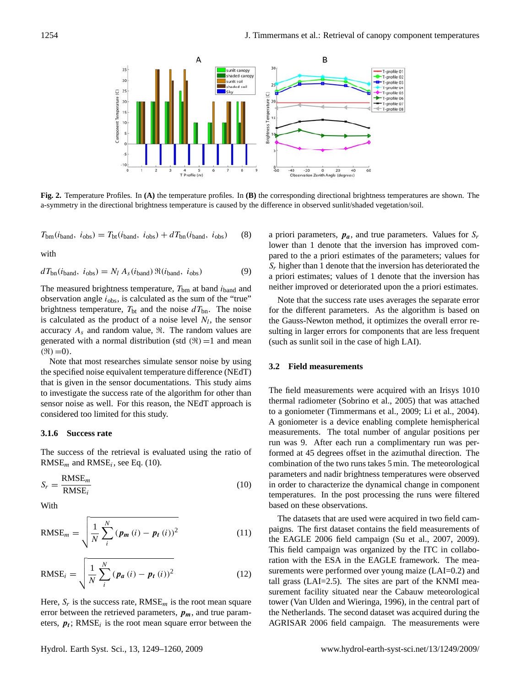

Fig. 2. Temperature Profiles. In  $(A)$  the temperature profiles. In  $(B)$  the corresponding directional brightness temperatures are shown. The a-symmetry in the directional brightness temperature is caused by the difference in observed sunlit/shaded vegetation/soil.

$$
T_{\rm bm}(i_{\rm band}, i_{\rm obs}) = T_{\rm bt}(i_{\rm band}, i_{\rm obs}) + dT_{\rm bn}(i_{\rm band}, i_{\rm obs}) \tag{8}
$$

with

$$
dT_{bn}(i_{band}, i_{obs}) = N_l A_s(i_{band}) \Re(i_{band}, i_{obs})
$$
 (9)

The measured brightness temperature,  $T_{bm}$  at band  $i_{band}$  and observation angle  $i_{\text{obs}}$ , is calculated as the sum of the "true" brightness temperature,  $T_{\text{bt}}$  and the noise  $dT_{\text{bn}}$ . The noise is calculated as the product of a noise level  $N_l$ , the sensor accuracy  $A_s$  and random value,  $\Re$ . The random values are generated with a normal distribution (std  $(\Re) = 1$  and mean  $(\Re) = 0$ .

Note that most researches simulate sensor noise by using the specified noise equivalent temperature difference (NEdT) that is given in the sensor documentations. This study aims to investigate the success rate of the algorithm for other than sensor noise as well. For this reason, the NEdT approach is considered too limited for this study.

#### **3.1.6 Success rate**

The success of the retrieval is evaluated using the ratio of  $RMSE_m$  and  $RMSE_i$ , see Eq. (10).

$$
S_r = \frac{\text{RMSE}_m}{\text{RMSE}_i} \tag{10}
$$

With

RMSE<sub>m</sub> = 
$$
\sqrt{\frac{1}{N} \sum_{i}^{N} (p_m(i) - p_t(i))^2}
$$
 (11)

RMSE<sub>i</sub> = 
$$
\sqrt{\frac{1}{N} \sum_{i}^{N} (p_a(i) - p_t(i))^2}
$$
 (12)

Here,  $S_r$  is the success rate,  $RMSE_m$  is the root mean square error between the retrieved parameters,  $p_m$ , and true parameters,  $p_t$ ; RMSE<sub>i</sub> is the root mean square error between the

 $6 = T_{\text{bt}}(i_{\text{band}}, i_{\text{obs}}) + dT_{\text{bn}}(i_{\text{band}}, i_{\text{obs}})$  (8) a priori parameters,  $p_a$ , and true parameters. Values for S<sub>r</sub> lower than 1 denote that the inversion has improved compared to the a priori estimates of the parameters; values for  $S_r$  higher than 1 denote that the inversion has deteriorated the a priori estimates; values of 1 denote that the inversion has neither improved or deteriorated upon the a priori estimates.

> Note that the success rate uses averages the separate error for the different parameters. As the algorithm is based on the Gauss-Newton method, it optimizes the overall error resulting in larger errors for components that are less frequent (such as sunlit soil in the case of high LAI).

## **3.2 Field measurements**

The field measurements were acquired with an Irisys 1010 thermal radiometer (Sobrino et al., 2005) that was attached to a goniometer (Timmermans et al., 2009; Li et al., 2004). A goniometer is a device enabling complete hemispherical measurements. The total number of angular positions per run was 9. After each run a complimentary run was performed at 45 degrees offset in the azimuthal direction. The combination of the two runs takes 5 min. The meteorological parameters and nadir brightness temperatures were observed in order to characterize the dynamical change in component temperatures. In the post processing the runs were filtered based on these observations.

The datasets that are used were acquired in two field campaigns. The first dataset contains the field measurements of the EAGLE 2006 field campaign (Su et al., 2007, 2009). This field campaign was organized by the ITC in collaboration with the ESA in the EAGLE framework. The measurements were performed over young maize (LAI=0.2) and tall grass (LAI=2.5). The sites are part of the KNMI measurement facility situated near the Cabauw meteorological tower (Van Ulden and Wieringa, 1996), in the central part of the Netherlands. The second dataset was acquired during the AGRISAR 2006 field campaign. The measurements were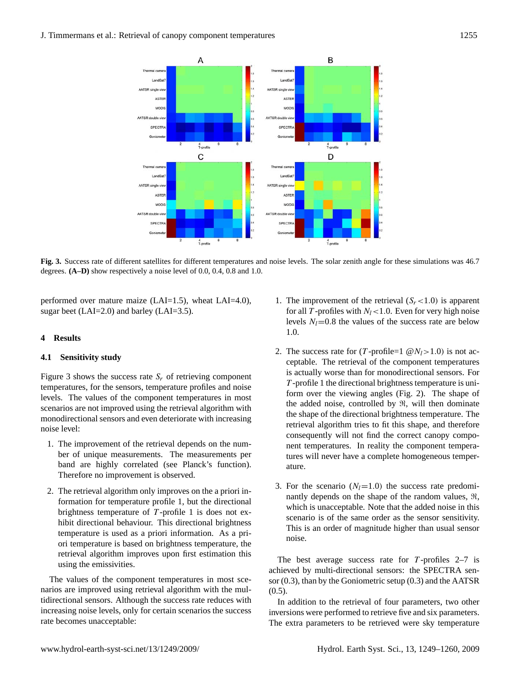

**Fig. 3.** Success rate of different satellites for different temperatures and noise levels. The solar zenith angle for these simulations was 46.7 degrees. **(A–D)** show respectively a noise level of 0.0, 0.4, 0.8 and 1.0.

performed over mature maize (LAI=1.5), wheat LAI=4.0), sugar beet (LAI=2.0) and barley (LAI=3.5).

# **4 Results**

# **4.1 Sensitivity study**

Figure 3 shows the success rate  $S_r$  of retrieving component temperatures, for the sensors, temperature profiles and noise levels. The values of the component temperatures in most scenarios are not improved using the retrieval algorithm with monodirectional sensors and even deteriorate with increasing noise level:

- ber of unique measurements. The measurements per tures will never have a complete homogeneous band are highly correlated (see Planck's function). ature ature and LAI. Therefore no improvement is observed. 1. The improvement of the retrieval depends on the num-Therefore no improvement is observed.
- 2. The retrieval algorithm only improves on the a priori information for temperature profile 1, but the directional brightness temperature of  $T$ -profile 1 is does not exhibit directional behaviour. This directional brightness temperature is used as a priori information. As a priori temperature is based on brightness temperature, the retrieval algorithm improves upon first estimation this using the emissivities.

The values of the component temperatures in most scenarios are improved using retrieval algorithm with the multidirectional sensors. Although the success rate reduces with increasing noise levels, only for certain scenarios the success rate becomes unacceptable:

- 1. The improvement of the retrieval  $(S_r < 1.0)$  is apparent for all T-profiles with  $N_l$  < 1.0. Even for very high noise levels  $N_l$ =0.8 the values of the success rate are below 1.0.
- consequently will not find the correct canopy compo-2. The success rate for (T-profile=1  $\omega N_l > 1.0$ ) is not acceptable. The retrieval of the component temperatures is actually worse than for monodirectional sensors. For T -profile 1 the directional brightness temperature is uniform over the viewing angles (Fig. 2). The shape of the added noise, controlled by  $\Re$ , will then dominate the shape of the directional brightness temperature. The retrieval algorithm tries to fit this shape, and therefore nent temperatures. In reality the component temperatures will never have a complete homogeneous temperature.
	- 3. For the scenario  $(N_l=1.0)$  the success rate predominantly depends on the shape of the random values,  $\mathfrak{R}$ , which is unacceptable. Note that the added noise in this scenario is of the same order as the sensor sensitivity. This is an order of magnitude higher than usual sensor noise.

The best average success rate for  $T$ -profiles  $2-7$  is achieved by multi-directional sensors: the SPECTRA sensor (0.3), than by the Goniometric setup (0.3) and the AATSR  $(0.5)$ .

In addition to the retrieval of four parameters, two other inversions were performed to retrieve five and six parameters. The extra parameters to be retrieved were sky temperature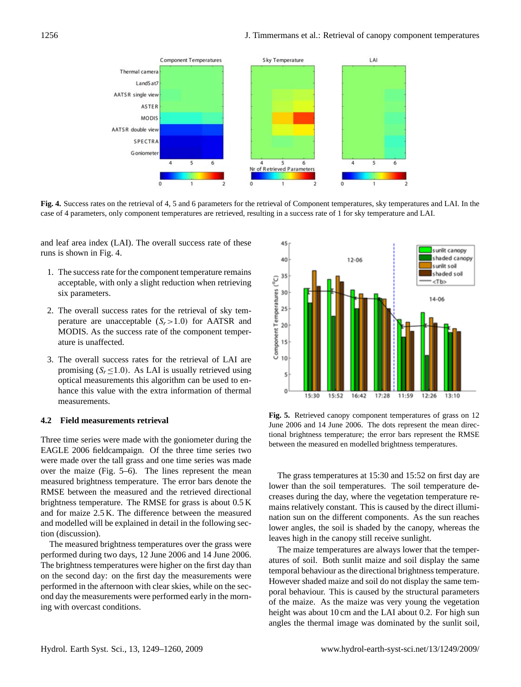

Fig. 4. Success rates on the retrieval of 4, 5 and 6 parameters for the retrieval of Component temperatures, sky temperatures and LAI. In the  $\mathcal{S}$  temperatures, sky temperatures and LAI. In the case of  $\mathcal{S}$ case of 4 parameters, only component temperatures are retrieved, resulting in a success rate of 1 for sky temperature and LAI.

and leaf area index (LAI). The overall success rate of these  $\frac{45}{10}$ runs is shown in Fig. 4.

- 1. The success rate for the component temperature remains acceptable, with only a slight reduction when retrieving six parameters.
- 2. The overall success rates for the retrieval of sky temperature are unacceptable  $(S_r > 1.0)$  for AATSR and MODIS. As the success rate of the component temperature is unaffected.
- 3. The overall success rates for the retrieval of LAI are promising  $(S_r \leq 1.0)$ . As LAI is usually retrieved using optical measurements this algorithm can be used to enhance this value with the extra information of thermal measurements.

#### **4.2 Field measurements retrieval**

Three time series were made with the goniometer during the EAGLE 2006 fieldcampaign. Of the three time series two were made over the tall grass and one time series was made over the maize (Fig. 5–6). The lines represent the mean measured brightness temperature. The error bars denote the RMSE between the measured and the retrieved directional brightness temperature. The RMSE for grass is about 0.5 K and for maize 2.5 K. The difference between the measured and modelled will be explained in detail in the following section (discussion).

In (uiscussion).<br>The measured brightness temperatures over the grass were performed during two days, 12 June 2006 and 14 June 2006. performed during two days, 12 June 2006 and 14 June 2000.<br>The brightness temperatures were higher on the first day than on the second day: on the first day the measurements were performed in the afternoon with clear skies, while on the second day the measurements were performed early in the morning with overcast conditions.



tional brightness temperature; the error bars represent the RMSE<br>between the measured en modelled brightness temperatures **Fig. 5.** Retrieved canopy component temperatures of grass on 12 June 2006 and 14 June 2006. The dots represent the mean direcbetween the measured en modelled brightness temperatures.

maach are mean<br>mean directional brightness temperatures at 15:30 and 15:52 on first day are  $1.5 K$  creases during the day, where the vegetation temperature remeasured. lower than the soil temperatures. The soil temperature decreases during the day, where the vegetation temperature renation sun on the different components. As the sun reaches lower angles, the soil is shaded by the canopy, whereas the leaves high in the canopy still receive sunlight.

The maize temperatures are always lower that the temperatures of soil. Both sunlit maize and soil display the same temporal behaviour as the directional brightness temperature. However shaded maize and soil do not display the same temporal behaviour. This is caused by the structural parameters of the maize. As the maize was very young the vegetation height was about 10 cm and the LAI about 0.2. For high sun angles the thermal image was dominated by the sunlit soil,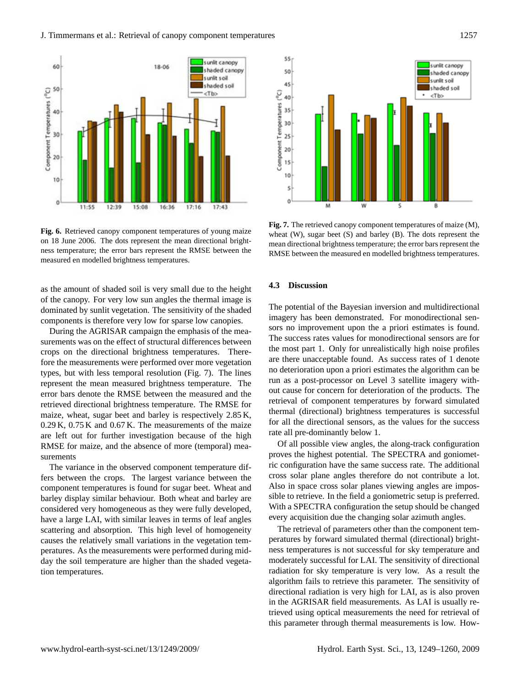

 $\frac{1}{2}$  measured en modelled brightness temperatures. **Fig. 6.** Retrieved canopy component temperatures of young maize on 18 June 2006. The dots represent the mean directional brightness temperature; the error bars represent the RMSE between the measured en modelled brightness temperatures.

10 model in the canopy. For very low sun angles the thermal image is as the amount of shaded soil is very small due to the height dominated by sunlit vegetation. The sensitivity of the shaded components is therefore very low for sparse low canopies.  $\frac{1}{100}$  RMSE between the measured energy temperatures.

During the AGRISAR campaign the emphasis of the measurements was on the effect of structural differences between crops on the directional brightness temperatures. Therefore the measurements were performed over more vegetation types, but with less temporal resolution (Fig. 7). The lines represent the mean measured brightness temperature. The error bars denote the RMSE between the measured and the retrieved directional brightness temperature. The RMSE for maize, wheat, sugar beet and barley is respectively 2.85 K, 0.29 K, 0.75 K and 0.67 K. The measurements of the maize are left out for further investigation because of the high RMSE for maize, and the absence of more (temporal) measurements

scattering and absorption. This high level of homogeneity The retrieval of parameters other than the component tem-<br>causes the relatively small variations in the vegetation tem-<br>peratures by forward simulated thermal (dire The variance in the observed component temperature differs between the crops. The largest variance between the component temperatures is found for sugar beet. Wheat and barley display similar behaviour. Both wheat and barley are considered very homogeneous as they were fully developed, have a large LAI, with similar leaves in terms of leaf angles causes the relatively small variations in the vegetation temperatures. As the measurements were performed during midday the soil temperature are higher than the shaded vegetation temperatures.



Fig. 6. Retrieved canopy component temperatures of young maize Fig. 7. The retrieved canopy component temperatures of maize (M), wheat (W), sugar beet (S) and barley (B). The dots represent the **Fig. 7.** The retrieved canopy component temperatures of maize (M), wheat (W), sugar beet (S) and barley (B). The dots represent the RIVISE between the measured en modelled brightness temperatures. mean directional brightness temperature; the error bars represent the RMSE between the measured en modelled brightness temperatures.

#### **4.3 Discussion**

The potential of the Bayesian inversion and multidirectional imagery has been demonstrated. For monodirectional sensors no improvement upon the a priori estimates is found. The success rates values for monodirectional sensors are for the most part 1. Only for unrealistically high noise profiles are there unacceptable found. As success rates of 1 denote no deterioration upon a priori estimates the algorithm can be run as a post-processor on Level 3 satellite imagery without cause for concern for deterioration of the products. The retrieval of component temperatures by forward simulated thermal (directional) brightness temperatures is successful for all the directional sensors, as the values for the success rate all pre-dominantly below 1.

Of all possible view angles, the along-track configuration proves the highest potential. The SPECTRA and goniometric configuration have the same success rate. The additional cross solar plane angles therefore do not contribute a lot. Also in space cross solar planes viewing angles are impossible to retrieve. In the field a goniometric setup is preferred. With a SPECTRA configuration the setup should be changed every acquisition due the changing solar azimuth angles.

day the soll temperature are higher than the shaded vegeta-<br>tion temperatures.<br>adiation for sky temperature is very low. As a result the in the AGRISAR field measurements. As LAI is usually re-The retrieval of parameters other than the component temperatures by forward simulated thermal (directional) brightness temperatures is not successful for sky temperature and moderately successful for LAI. The sensitivity of directional algorithm fails to retrieve this parameter. The sensitivity of directional radiation is very high for LAI, as is also proven trieved using optical measurements the need for retrieval of this parameter through thermal measurements is low. How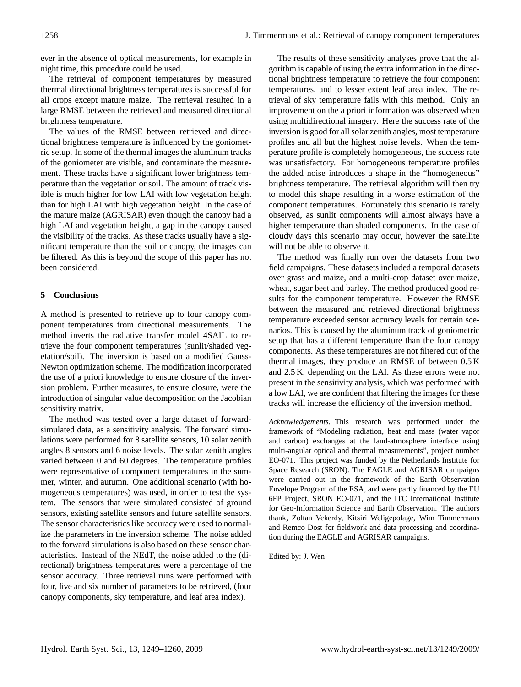ever in the absence of optical measurements, for example in night time, this procedure could be used.

The retrieval of component temperatures by measured thermal directional brightness temperatures is successful for all crops except mature maize. The retrieval resulted in a large RMSE between the retrieved and measured directional brightness temperature.

The values of the RMSE between retrieved and directional brightness temperature is influenced by the goniometric setup. In some of the thermal images the aluminum tracks of the goniometer are visible, and contaminate the measurement. These tracks have a significant lower brightness temperature than the vegetation or soil. The amount of track visible is much higher for low LAI with low vegetation height than for high LAI with high vegetation height. In the case of the mature maize (AGRISAR) even though the canopy had a high LAI and vegetation height, a gap in the canopy caused the visibility of the tracks. As these tracks usually have a significant temperature than the soil or canopy, the images can be filtered. As this is beyond the scope of this paper has not been considered.

## **5 Conclusions**

A method is presented to retrieve up to four canopy component temperatures from directional measurements. The method inverts the radiative transfer model 4SAIL to retrieve the four component temperatures (sunlit/shaded vegetation/soil). The inversion is based on a modified Gauss-Newton optimization scheme. The modification incorporated the use of a priori knowledge to ensure closure of the inversion problem. Further measures, to ensure closure, were the introduction of singular value decomposition on the Jacobian sensitivity matrix.

The method was tested over a large dataset of forwardsimulated data, as a sensitivity analysis. The forward simulations were performed for 8 satellite sensors, 10 solar zenith angles 8 sensors and 6 noise levels. The solar zenith angles varied between 0 and 60 degrees. The temperature profiles were representative of component temperatures in the summer, winter, and autumn. One additional scenario (with homogeneous temperatures) was used, in order to test the system. The sensors that were simulated consisted of ground sensors, existing satellite sensors and future satellite sensors. The sensor characteristics like accuracy were used to normalize the parameters in the inversion scheme. The noise added to the forward simulations is also based on these sensor characteristics. Instead of the NEdT, the noise added to the (directional) brightness temperatures were a percentage of the sensor accuracy. Three retrieval runs were performed with four, five and six number of parameters to be retrieved, (four canopy components, sky temperature, and leaf area index).

The results of these sensitivity analyses prove that the algorithm is capable of using the extra information in the directional brightness temperature to retrieve the four component temperatures, and to lesser extent leaf area index. The retrieval of sky temperature fails with this method. Only an improvement on the a priori information was observed when using multidirectional imagery. Here the success rate of the inversion is good for all solar zenith angles, most temperature profiles and all but the highest noise levels. When the temperature profile is completely homogeneous, the success rate was unsatisfactory. For homogeneous temperature profiles the added noise introduces a shape in the "homogeneous" brightness temperature. The retrieval algorithm will then try to model this shape resulting in a worse estimation of the component temperatures. Fortunately this scenario is rarely observed, as sunlit components will almost always have a higher temperature than shaded components. In the case of cloudy days this scenario may occur, however the satellite will not be able to observe it.

The method was finally run over the datasets from two field campaigns. These datasets included a temporal datasets over grass and maize, and a multi-crop dataset over maize, wheat, sugar beet and barley. The method produced good results for the component temperature. However the RMSE between the measured and retrieved directional brightness temperature exceeded sensor accuracy levels for certain scenarios. This is caused by the aluminum track of goniometric setup that has a different temperature than the four canopy components. As these temperatures are not filtered out of the thermal images, they produce an RMSE of between 0.5 K and 2.5 K, depending on the LAI. As these errors were not present in the sensitivity analysis, which was performed with a low LAI, we are confident that filtering the images for these tracks will increase the efficiency of the inversion method.

*Acknowledgements.* This research was performed under the framework of "Modeling radiation, heat and mass (water vapor and carbon) exchanges at the land-atmosphere interface using multi-angular optical and thermal measurements", project number EO-071. This project was funded by the Netherlands Institute for Space Research (SRON). The EAGLE and AGRISAR campaigns were carried out in the framework of the Earth Observation Envelope Program of the ESA, and were partly financed by the EU 6FP Project, SRON EO-071, and the ITC International Institute for Geo-Information Science and Earth Observation. The authors thank, Zoltan Vekerdy, Kitsiri Weligepolage, Wim Timmermans and Remco Dost for fieldwork and data processing and coordination during the EAGLE and AGRISAR campaigns.

Edited by: J. Wen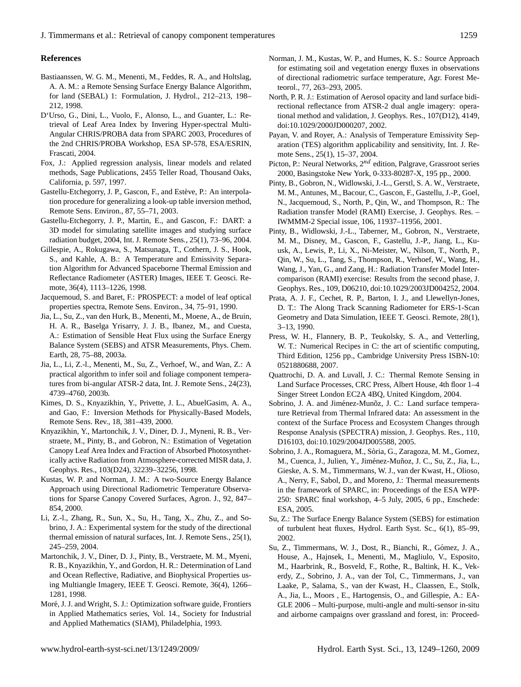# **References**

- Bastiaanssen, W. G. M., Menenti, M., Feddes, R. A., and Holtslag, A. A. M.: a Remote Sensing Surface Energy Balance Algorithm, for land (SEBAL) 1: Formulation, J. Hydrol., 212–213, 198– 212, 1998.
- D'Urso, G., Dini, L., Vuolo, F., Alonso, L., and Guanter, L.: Retrieval of Leaf Area Index by Invering Hyper-spectral Multi-Angular CHRIS/PROBA data from SPARC 2003, Procedures of the 2nd CHRIS/PROBA Workshop, ESA SP-578, ESA/ESRIN, Frascati, 2004.
- Fox, J.: Applied regression analysis, linear models and related methods, Sage Publications, 2455 Teller Road, Thousand Oaks, California, p. 597, 1997.
- Gastellu-Etchegorry, J. P., Gascon, F., and Estève, P.: An interpolation procedure for generalizing a look-up table inversion method, Remote Sens. Environ., 87, 55–71, 2003.
- Gastellu-Etchegorry, J. P., Martin, E., and Gascon, F.: DART: a 3D model for simulating satellite images and studying surface radiation budget, 2004, Int. J. Remote Sens., 25(1), 73–96, 2004.
- Gillespie, A., Rokugawa, S., Matsunaga, T., Cothern, J. S., Hook, S., and Kahle, A. B.: A Temperature and Emissivity Separation Algorithm for Advanced Spaceborne Thermal Emission and Reflectance Radiometer (ASTER) Images, IEEE T. Geosci. Remote, 36(4), 1113–1226, 1998.
- Jacquemoud, S. and Baret, F.: PROSPECT: a model of leaf optical properties spectra, Remote Sens. Environ., 34, 75–91, 1990.
- Jia, L., Su, Z., van den Hurk, B., Menenti, M., Moene, A., de Bruin, H. A. R., Baselga Yrisarry, J. J. B., Ibanez, M., and Cuesta, A.: Estimation of Sensible Heat Flux using the Surface Energy Balance System (SEBS) and ATSR Measurements, Phys. Chem. Earth, 28, 75–88, 2003a.
- Jia, L., Li, Z.-l., Menenti, M., Su, Z., Verhoef, W., and Wan, Z.: A practical algorithm to infer soil and foliage component temperatures from bi-angular ATSR-2 data, Int. J. Remote Sens., 24(23), 4739–4760, 2003b.
- Kimes, D. S., Knyazikhin, Y., Privette, J. L., AbuelGasim, A. A., and Gao, F.: Inversion Methods for Physically-Based Models, Remote Sens. Rev., 18, 381–439, 2000.
- Knyazikhin, Y., Martonchik, J. V., Diner, D. J., Myneni, R. B., Verstraete, M., Pinty, B., and Gobron, N.: Estimation of Vegetation Canopy Leaf Area Index and Fraction of Absorbed Photosynthetically active Radiation from Atmosphere-corrected MISR data, J. Geophys. Res., 103(D24), 32239–32256, 1998.
- Kustas, W. P. and Norman, J. M.: A two-Source Energy Balance Approach using Directional Radiometric Temperature Observations for Sparse Canopy Covered Surfaces, Agron. J., 92, 847– 854, 2000.
- Li, Z.-l., Zhang, R., Sun, X., Su, H., Tang, X., Zhu, Z., and Sobrino, J. A.: Experimental system for the study of the directional thermal emission of natural surfaces, Int. J. Remote Sens., 25(1), 245–259, 2004.
- Martonchik, J. V., Diner, D. J., Pinty, B., Verstraete, M. M., Myeni, R. B., Knyazikhin, Y., and Gordon, H. R.: Determination of Land and Ocean Reflective, Radiative, and Biophysical Properties using Multiangle Imagery, IEEE T. Geosci. Remote, 36(4), 1266– 1281, 1998.
- Moré, J. J. and Wright, S. J.: Optimization software guide, Frontiers in Applied Mathematics series, Vol. 14., Society for Industrial and Applied Mathematics (SIAM), Philadelphia, 1993.
- 3–13, 1990. Press, W. H., Flannery, B. P., Teukolsky, S. A., and Vetterling,
	- W. T.: Numerical Recipes in C: the art of scientific computing, Third Edition, 1256 pp., Cambridge University Press ISBN-10: 0521880688, 2007.

Norman, J. M., Kustas, W. P., and Humes, K. S.: Source Approach for estimating soil and vegetation energy fluxes in observations of directional radiometric surface temperature, Agr. Forest Me-

North, P. R. J.: Estimation of Aerosol opacity and land surface bidirectional reflectance from ATSR-2 dual angle imagery: operational method and validation, J. Geophys. Res., 107(D12), 4149,

Payan, V. and Royer, A.: Analysis of Temperature Emissivity Separation (TES) algorithm applicability and sensitivity, Int. J. Re-

Picton, P.: Neural Networks,  $2^{nd}$  edition, Palgrave, Grassroot series 2000, Basingstoke New York, 0-333-80287-X, 195 pp., 2000. Pinty, B., Gobron, N., Widlowski, J.-L., Gerstl, S. A. W., Verstraete, M. M., Antunes, M., Bacour, C., Gascon, F., Gastellu, J.-P., Goel, N., Jacquemoud, S., North, P., Qin, W., and Thompson, R.: The Radiation transfer Model (RAMI) Exercise, J. Geophys. Res. –

IWMMM-2 Special issue, 106, 11937–11956, 2001. Pinty, B., Widlowski, J.-L., Taberner, M., Gobron, N., Verstraete, M. M., Disney, M., Gascon, F., Gastellu, J.-P., Jiang, L., Kuusk, A., Lewis, P., Li, X., Ni-Meister, W., Nilson, T., North, P., Qin, W., Su, L., Tang, S., Thompson, R., Verhoef, W., Wang, H., Wang, J., Yan, G., and Zang, H.: Radiation Transfer Model Intercomparison (RAMI) exercise: Results from the second phase, J. Geophys. Res., 109, D06210, doi:10.1029/2003JD004252, 2004. Prata, A. J. F., Cechet, R. P., Barton, I. J., and Llewellyn-Jones, D. T.: The Along Track Scanning Radiometer for ERS-1-Scan Geometry and Data Simulation, IEEE T. Geosci. Remote, 28(1),

teorol., 77, 263–293, 2005.

doi:10.1029/2000JD000207, 2002.

mote Sens., 25(1), 15–37, 2004.

- Quattrochi, D. A. and Luvall, J. C.: Thermal Remote Sensing in Land Surface Processes, CRC Press, Albert House, 4th floor 1–4 Singer Street London EC2A 4BQ, United Kingdom, 2004.
- Sobrino, J. A. and Jiménez-Munoz, J. C.: Land surface temperature Retrieval from Thermal Infrared data: An assessment in the context of the Surface Process and Ecosystem Changes through Response Analysis (SPECTRA) mission, J. Geophys. Res., 110, D16103, doi:10.1029/2004JD005588, 2005.
- Sobrino, J. A., Romaguera, M., Soria, G., Zaragoza, M. M., Gomez, ` M., Cuenca, J., Julien, Y., Jiménez-Muñoz, J. C., Su, Z., Jia, L., Gieske, A. S. M., Timmermans, W. J., van der Kwast, H., Olioso, A., Nerry, F., Sabol, D., and Moreno, J.: Thermal measurements in the framework of SPARC, in: Proceedings of the ESA WPP-250: SPARC final workshop, 4–5 July, 2005, 6 pp., Enschede: ESA, 2005.
- Su, Z.: The Surface Energy Balance System (SEBS) for estimation of turbulent heat fluxes, Hydrol. Earth Syst. Sc., 6(1), 85–99, 2002.
- Su, Z., Timmermans, W. J., Dost, R., Bianchi, R., Gómez, J. A., House, A., Hajnsek, I., Menenti, M., Magliulo, V., Esposito, M., Haarbrink, R., Bosveld, F., Rothe, R., Baltink, H. K., Vekerdy, Z., Sobrino, J. A., van der Tol, C., Timmermans, J., van Laake, P., Salama, S., van der Kwast, H., Claassen, E., Stolk, A., Jia, L., Moors , E., Hartogensis, O., and Gillespie, A.: EA-GLE 2006 – Multi-purpose, multi-angle and multi-sensor in-situ and airborne campaigns over grassland and forest, in: Proceed-